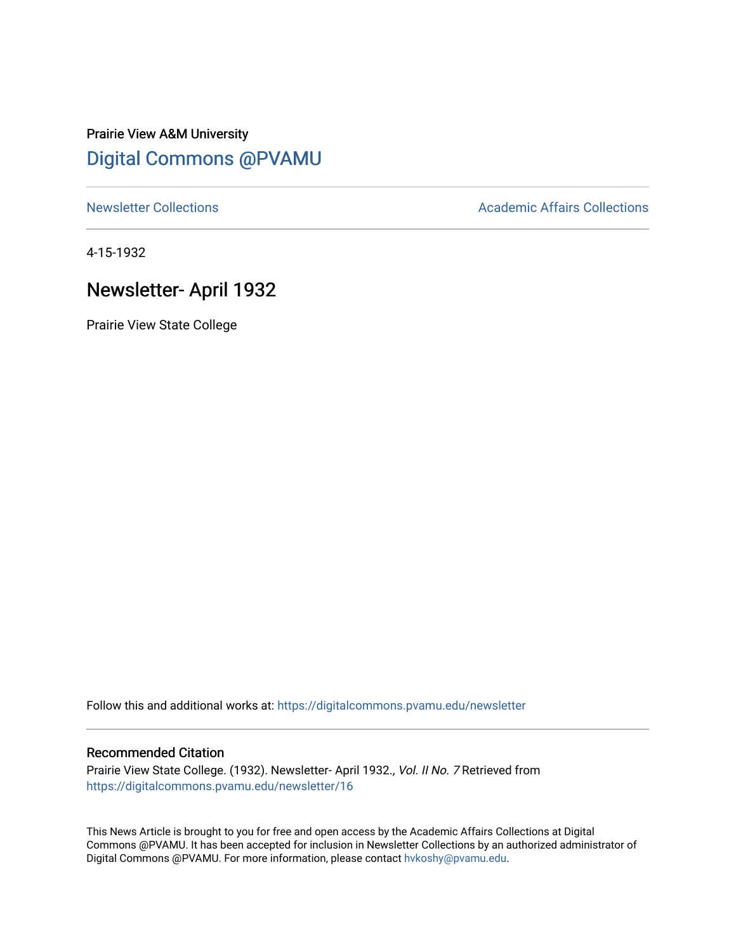## Prairie View A&M University [Digital Commons @PVAMU](https://digitalcommons.pvamu.edu/)

[Newsletter Collections](https://digitalcommons.pvamu.edu/newsletter) **Academic Affairs Collections Academic Affairs Collections** 

4-15-1932

# Newsletter- April 1932

Prairie View State College

Follow this and additional works at: [https://digitalcommons.pvamu.edu/newsletter](https://digitalcommons.pvamu.edu/newsletter?utm_source=digitalcommons.pvamu.edu%2Fnewsletter%2F16&utm_medium=PDF&utm_campaign=PDFCoverPages) 

## Recommended Citation

Prairie View State College. (1932). Newsletter- April 1932., Vol. II No. 7 Retrieved from [https://digitalcommons.pvamu.edu/newsletter/16](https://digitalcommons.pvamu.edu/newsletter/16?utm_source=digitalcommons.pvamu.edu%2Fnewsletter%2F16&utm_medium=PDF&utm_campaign=PDFCoverPages) 

This News Article is brought to you for free and open access by the Academic Affairs Collections at Digital Commons @PVAMU. It has been accepted for inclusion in Newsletter Collections by an authorized administrator of Digital Commons @PVAMU. For more information, please contact [hvkoshy@pvamu.edu.](mailto:hvkoshy@pvamu.edu)